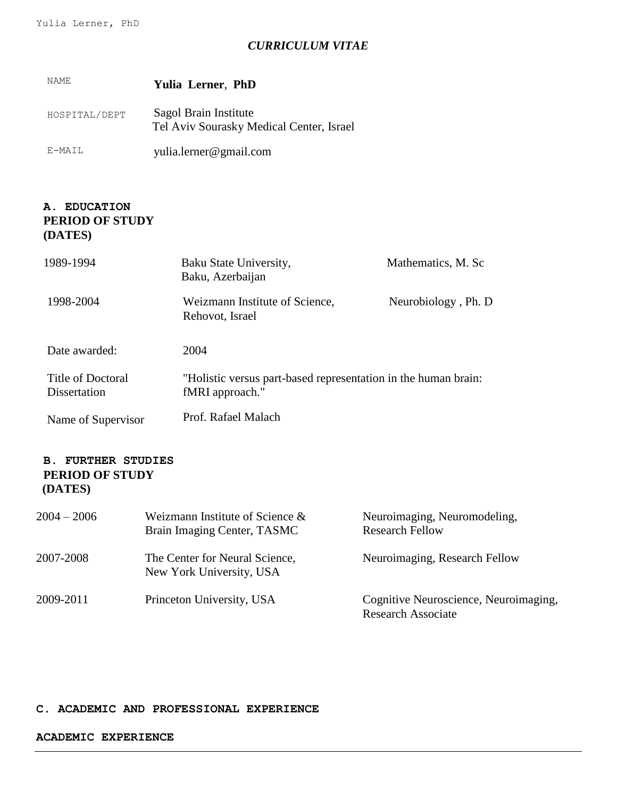# *CURRICULUM VITAE*

| NAME.         | <b>Yulia Lerner, PhD</b>                                          |
|---------------|-------------------------------------------------------------------|
| HOSPITAL/DEPT | Sagol Brain Institute<br>Tel Aviv Sourasky Medical Center, Israel |
| E-MAIL        | yulia.lerner@gmail.com                                            |

## **A. EDUCATION PERIOD OF STUDY (DATES)**

| 1989-1994                         | Baku State University,<br>Baku, Azerbaijan                                        | Mathematics, M. Sc  |
|-----------------------------------|-----------------------------------------------------------------------------------|---------------------|
| 1998-2004                         | Weizmann Institute of Science,<br>Rehovot, Israel                                 | Neurobiology, Ph. D |
| Date awarded:                     | 2004                                                                              |                     |
| Title of Doctoral<br>Dissertation | "Holistic versus part-based representation in the human brain:<br>fMRI approach." |                     |
| Name of Supervisor                | Prof. Rafael Malach                                                               |                     |

## **B. FURTHER STUDIES PERIOD OF STUDY (DATES)**

| $2004 - 2006$ | Weizmann Institute of Science $\&$<br>Brain Imaging Center, TASMC | Neuroimaging, Neuromodeling,<br><b>Research Fellow</b>             |
|---------------|-------------------------------------------------------------------|--------------------------------------------------------------------|
| 2007-2008     | The Center for Neural Science,<br>New York University, USA        | Neuroimaging, Research Fellow                                      |
| 2009-2011     | Princeton University, USA                                         | Cognitive Neuroscience, Neuroimaging,<br><b>Research Associate</b> |

#### **C. ACADEMIC AND PROFESSIONAL EXPERIENCE**

#### **ACADEMIC EXPERIENCE**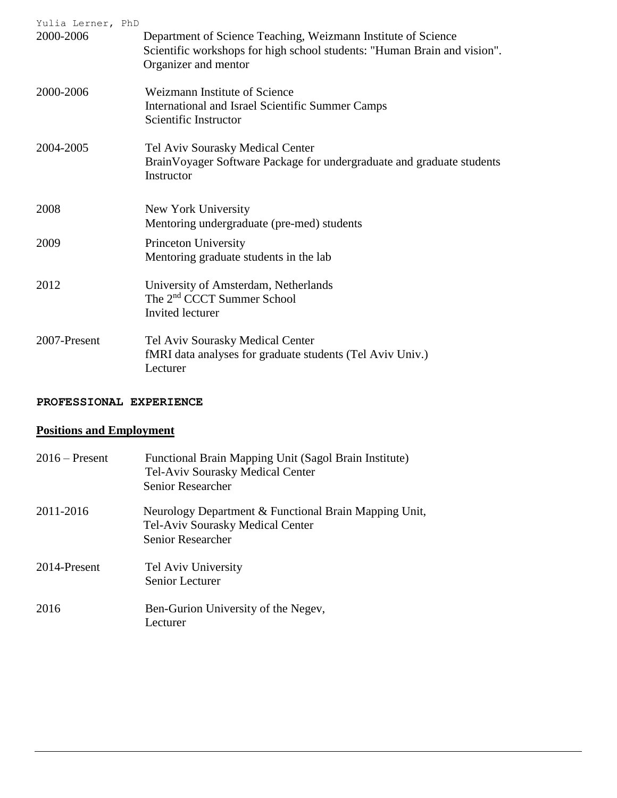| Yulia Lerner, PhD<br>2000-2006 | Department of Science Teaching, Weizmann Institute of Science<br>Scientific workshops for high school students: "Human Brain and vision".<br>Organizer and mentor |
|--------------------------------|-------------------------------------------------------------------------------------------------------------------------------------------------------------------|
| 2000-2006                      | Weizmann Institute of Science<br>International and Israel Scientific Summer Camps<br>Scientific Instructor                                                        |
| 2004-2005                      | Tel Aviv Sourasky Medical Center<br>BrainVoyager Software Package for undergraduate and graduate students<br>Instructor                                           |
| 2008                           | New York University<br>Mentoring undergraduate (pre-med) students                                                                                                 |
| 2009                           | Princeton University<br>Mentoring graduate students in the lab                                                                                                    |
| 2012                           | University of Amsterdam, Netherlands<br>The 2 <sup>nd</sup> CCCT Summer School<br>Invited lecturer                                                                |
| 2007-Present                   | Tel Aviv Sourasky Medical Center<br>fMRI data analyses for graduate students (Tel Aviv Univ.)<br>Lecturer                                                         |

# **PROFESSIONAL EXPERIENCE**

# **Positions and Employment**

| $2016$ – Present | Functional Brain Mapping Unit (Sagol Brain Institute)<br>Tel-Aviv Sourasky Medical Center<br><b>Senior Researcher</b> |
|------------------|-----------------------------------------------------------------------------------------------------------------------|
| 2011-2016        | Neurology Department & Functional Brain Mapping Unit,<br>Tel-Aviv Sourasky Medical Center<br><b>Senior Researcher</b> |
| 2014-Present     | Tel Aviv University<br>Senior Lecturer                                                                                |
| 2016             | Ben-Gurion University of the Negev,<br>Lecturer                                                                       |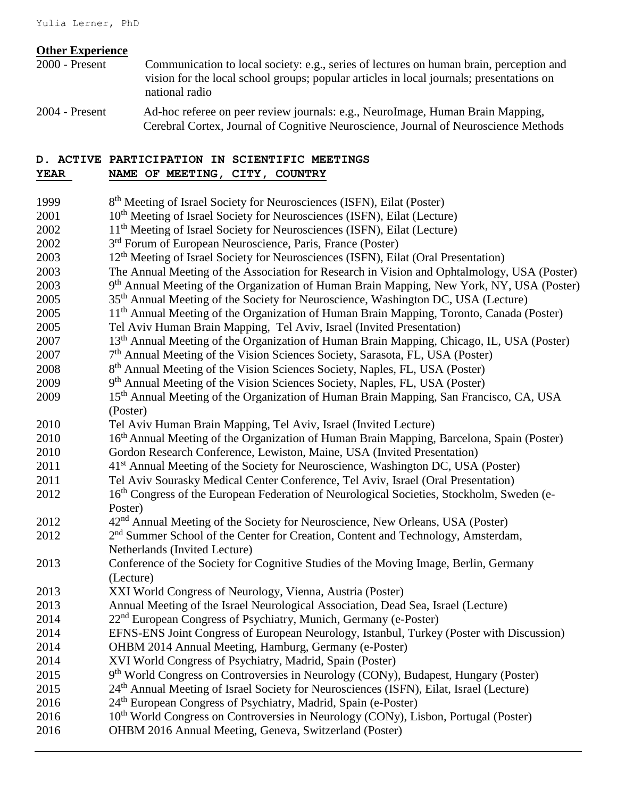#### **Other Experience**

- 2000 Present Communication to local society: e.g., series of lectures on human brain, perception and vision for the local school groups; popular articles in local journals; presentations on national radio
- 2004 Present Ad-hoc referee on peer review journals: e.g., NeuroImage, Human Brain Mapping, Cerebral Cortex, Journal of Cognitive Neuroscience, Journal of Neuroscience Methods

#### **D. ACTIVE PARTICIPATION IN SCIENTIFIC MEETINGS YEAR NAME OF MEETING, CITY, COUNTRY**

1999 8<sup>th</sup> Meeting of Israel Society for Neurosciences (ISFN), Eilat (Poster)  $2001$  10<sup>th</sup> Meeting of Israel Society for Neurosciences (ISFN), Eilat (Lecture) 2002 11<sup>th</sup> Meeting of Israel Society for Neurosciences (ISFN), Eilat (Lecture) 2002 3<sup>rd</sup> Forum of European Neuroscience, Paris, France (Poster) 2003  $12<sup>th</sup>$  Meeting of Israel Society for Neurosciences (ISFN), Eilat (Oral Presentation) 2003 The Annual Meeting of the Association for Research in Vision and Ophtalmology, USA (Poster) 2003 9<sup>th</sup> Annual Meeting of the Organization of Human Brain Mapping, New York, NY, USA (Poster) 2005 35<sup>th</sup> Annual Meeting of the Society for Neuroscience, Washington DC, USA (Lecture) 2005 11<sup>th</sup> Annual Meeting of the Organization of Human Brain Mapping, Toronto, Canada (Poster) 2005 Tel Aviv Human Brain Mapping, Tel Aviv, Israel (Invited Presentation) 2007 13th Annual Meeting of the Organization of Human Brain Mapping, Chicago, IL, USA (Poster) 2007 <sup>7th</sup> Annual Meeting of the Vision Sciences Society, Sarasota, FL, USA (Poster) 2008 8<sup>th</sup> Annual Meeting of the Vision Sciences Society, Naples, FL, USA (Poster) 2009 9<sup>th</sup> Annual Meeting of the Vision Sciences Society, Naples, FL, USA (Poster) 2009 15<sup>th</sup> Annual Meeting of the Organization of Human Brain Mapping, San Francisco, CA, USA (Poster) 2010 Tel Aviv Human Brain Mapping, Tel Aviv, Israel (Invited Lecture) 2010 16<sup>th</sup> Annual Meeting of the Organization of Human Brain Mapping, Barcelona, Spain (Poster) 2010 Gordon Research Conference, Lewiston, Maine, USA (Invited Presentation) 2011 41<sup>st</sup> Annual Meeting of the Society for Neuroscience, Washington DC, USA (Poster) 2011 Tel Aviv Sourasky Medical Center Conference, Tel Aviv, Israel (Oral Presentation) 2012 16<sup>th</sup> Congress of the European Federation of Neurological Societies, Stockholm, Sweden (e-Poster) 2012 42<sup>nd</sup> Annual Meeting of the Society for Neuroscience, New Orleans, USA (Poster) 2012  $2<sup>nd</sup>$  Summer School of the Center for Creation, Content and Technology, Amsterdam, Netherlands (Invited Lecture) 2013 Conference of the Society for Cognitive Studies of the Moving Image, Berlin, Germany (Lecture) 2013 XXI World Congress of Neurology, Vienna, Austria (Poster) 2013 Annual Meeting of the Israel Neurological Association, Dead Sea, Israel (Lecture)  $2014$  22<sup>nd</sup> European Congress of Psychiatry, Munich, Germany (e-Poster) 2014 EFNS-ENS Joint Congress of European Neurology, Istanbul, Turkey (Poster with Discussion) 2014 OHBM 2014 Annual Meeting, Hamburg, Germany (e-Poster) 2014 XVI World Congress of Psychiatry, Madrid, Spain (Poster) 2015 9<sup>th</sup> World Congress on Controversies in Neurology (CONy), Budapest, Hungary (Poster) 2015 24<sup>th</sup> Annual Meeting of Israel Society for Neurosciences (ISFN), Eilat, Israel (Lecture) 2016 24<sup>th</sup> European Congress of Psychiatry, Madrid, Spain (e-Poster) 2016 10<sup>th</sup> World Congress on Controversies in Neurology (CONy), Lisbon, Portugal (Poster) 2016 OHBM 2016 Annual Meeting, Geneva, Switzerland (Poster)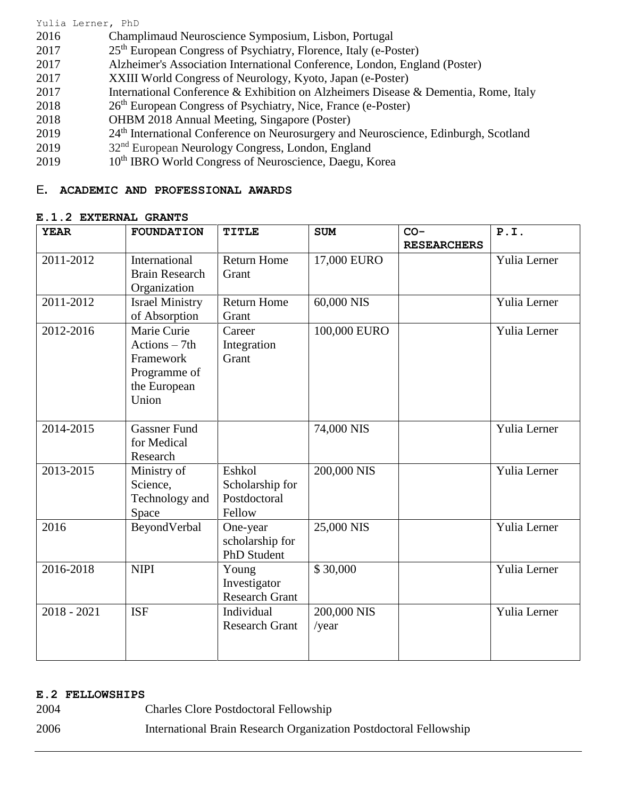#### Yulia Lerner, PhD

- 2016 Champlimaud Neuroscience Symposium, Lisbon, Portugal
- $2017$  25<sup>th</sup> European Congress of Psychiatry, Florence, Italy (e-Poster)
- 2017 Alzheimer's Association International Conference, London, England (Poster)
- 2017 XXIII World Congress of Neurology, Kyoto, Japan (e-Poster)
- 2017 International Conference & Exhibition on Alzheimers Disease & Dementia, Rome, Italy
- 2018 26<sup>th</sup> European Congress of Psychiatry, Nice, France (e-Poster)
- 2018 OHBM 2018 Annual Meeting, Singapore (Poster)
- 2019 24<sup>th</sup> International Conference on Neurosurgery and Neuroscience, Edinburgh, Scotland
- 2019  $32<sup>nd</sup>$  European Neurology Congress, London, England
- 2019 10<sup>th</sup> IBRO World Congress of Neuroscience, Daegu, Korea

## E**. ACADEMIC AND PROFESSIONAL AWARDS**

### **E.1.2 EXTERNAL GRANTS**

| <b>YEAR</b>   | <b>FOUNDATION</b>             | <b>TITLE</b>          | <b>SUM</b>   | $CO-$              | P.I.         |
|---------------|-------------------------------|-----------------------|--------------|--------------------|--------------|
|               |                               |                       |              | <b>RESEARCHERS</b> |              |
| 2011-2012     | International                 | <b>Return Home</b>    | 17,000 EURO  |                    | Yulia Lerner |
|               | <b>Brain Research</b>         | Grant                 |              |                    |              |
|               | Organization                  |                       |              |                    |              |
| 2011-2012     | <b>Israel Ministry</b>        | <b>Return Home</b>    | 60,000 NIS   |                    | Yulia Lerner |
|               | of Absorption                 | Grant                 |              |                    |              |
| 2012-2016     | Marie Curie                   | Career                | 100,000 EURO |                    | Yulia Lerner |
|               | $\text{Actions} - 7\text{th}$ | Integration           |              |                    |              |
|               | Framework                     | Grant                 |              |                    |              |
|               | Programme of                  |                       |              |                    |              |
|               | the European                  |                       |              |                    |              |
|               | Union                         |                       |              |                    |              |
|               |                               |                       |              |                    |              |
| 2014-2015     | <b>Gassner Fund</b>           |                       | 74,000 NIS   |                    | Yulia Lerner |
|               | for Medical                   |                       |              |                    |              |
|               | Research                      |                       |              |                    |              |
| 2013-2015     | Ministry of                   | Eshkol                | 200,000 NIS  |                    | Yulia Lerner |
|               | Science,                      | Scholarship for       |              |                    |              |
|               | Technology and                | Postdoctoral          |              |                    |              |
|               | Space                         | Fellow                |              |                    |              |
| 2016          | BeyondVerbal                  | One-year              | 25,000 NIS   |                    | Yulia Lerner |
|               |                               | scholarship for       |              |                    |              |
|               |                               | <b>PhD</b> Student    |              |                    |              |
| 2016-2018     | <b>NIPI</b>                   | Young                 | \$30,000     |                    | Yulia Lerner |
|               |                               | Investigator          |              |                    |              |
|               |                               | <b>Research Grant</b> |              |                    |              |
| $2018 - 2021$ | <b>ISF</b>                    | Individual            | 200,000 NIS  |                    | Yulia Lerner |
|               |                               | <b>Research Grant</b> | /year        |                    |              |
|               |                               |                       |              |                    |              |
|               |                               |                       |              |                    |              |

### **E.2 FELLOWSHIPS**

- 2004 Charles Clore Postdoctoral Fellowship
- 2006 International Brain Research Organization Postdoctoral Fellowship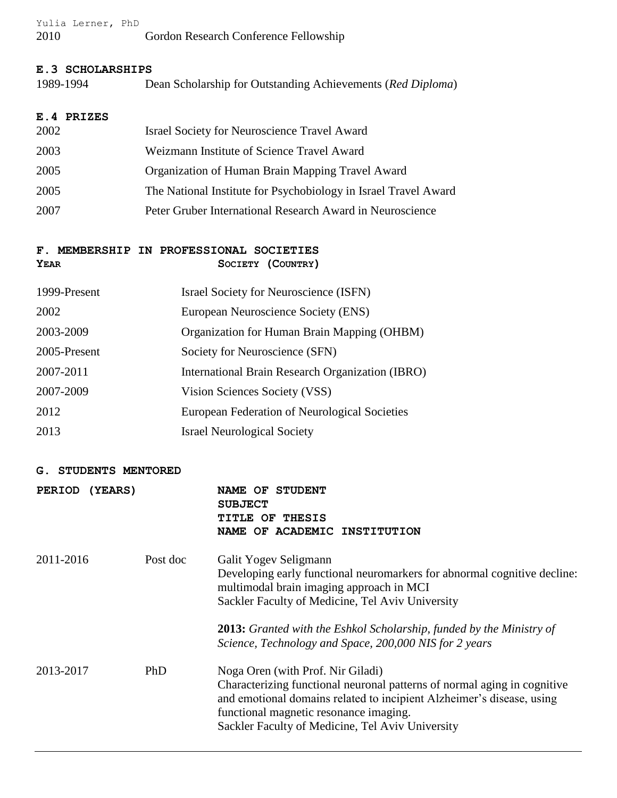|      | Yulia Lerner, PhD |                                       |
|------|-------------------|---------------------------------------|
| 2010 |                   | Gordon Research Conference Fellowship |

#### **E.3 SCHOLARSHIPS**

| 1989-1994 | Dean Scholarship for Outstanding Achievements (Red Diploma) |  |
|-----------|-------------------------------------------------------------|--|
|           |                                                             |  |

# **E.4 PRIZES**

| 2002 | <b>Israel Society for Neuroscience Travel Award</b>             |
|------|-----------------------------------------------------------------|
| 2003 | Weizmann Institute of Science Travel Award                      |
| 2005 | Organization of Human Brain Mapping Travel Award                |
| 2005 | The National Institute for Psychobiology in Israel Travel Award |
| 2007 | Peter Gruber International Research Award in Neuroscience       |

## **F. MEMBERSHIP IN PROFESSIONAL SOCIETIES YEAR SOCIETY (COUNTRY)**

| 1999-Present | Israel Society for Neuroscience (ISFN)           |
|--------------|--------------------------------------------------|
| 2002         | European Neuroscience Society (ENS)              |
| 2003-2009    | Organization for Human Brain Mapping (OHBM)      |
| 2005-Present | Society for Neuroscience (SFN)                   |
| 2007-2011    | International Brain Research Organization (IBRO) |
| 2007-2009    | Vision Sciences Society (VSS)                    |
| 2012         | European Federation of Neurological Societies    |
| 2013         | <b>Israel Neurological Society</b>               |

#### **G. STUDENTS MENTORED**

| <b>PERIOD</b><br><b>(YEARS)</b> |          | <b>STUDENT</b><br>NAME OF<br><b>SUBJECT</b><br>TITLE OF<br><b>THESIS</b><br>NAME OF ACADEMIC INSTITUTION                                                                                                                                                                                                                                   |
|---------------------------------|----------|--------------------------------------------------------------------------------------------------------------------------------------------------------------------------------------------------------------------------------------------------------------------------------------------------------------------------------------------|
| 2011-2016                       | Post doc | Galit Yogev Seligmann<br>Developing early functional neuromarkers for abnormal cognitive decline:<br>multimodal brain imaging approach in MCI<br>Sackler Faculty of Medicine, Tel Aviv University<br><b>2013:</b> Granted with the Eshkol Scholarship, funded by the Ministry of<br>Science, Technology and Space, 200,000 NIS for 2 years |
| 2013-2017                       | PhD      | Noga Oren (with Prof. Nir Giladi)<br>Characterizing functional neuronal patterns of normal aging in cognitive<br>and emotional domains related to incipient Alzheimer's disease, using<br>functional magnetic resonance imaging.<br>Sackler Faculty of Medicine, Tel Aviv University                                                       |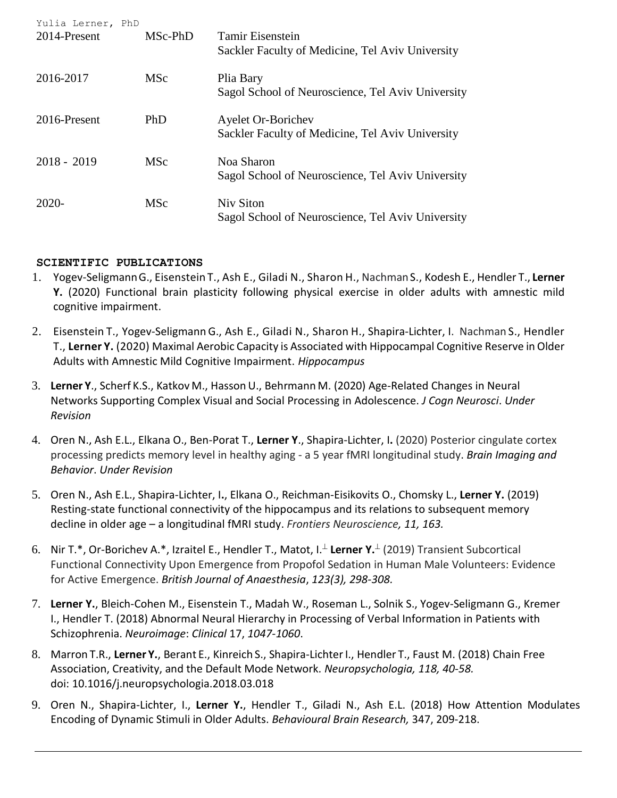| Yulia Lerner, PhD<br>2014-Present | MSc-PhD    | <b>Tamir Eisenstein</b><br>Sackler Faculty of Medicine, Tel Aviv University   |
|-----------------------------------|------------|-------------------------------------------------------------------------------|
| 2016-2017                         | <b>MSc</b> | Plia Bary<br>Sagol School of Neuroscience, Tel Aviv University                |
| 2016-Present                      | PhD        | <b>Ayelet Or-Borichev</b><br>Sackler Faculty of Medicine, Tel Aviv University |
| $2018 - 2019$                     | <b>MSc</b> | Noa Sharon<br>Sagol School of Neuroscience, Tel Aviv University               |
| 2020-                             | <b>MSc</b> | Niv Siton<br>Sagol School of Neuroscience, Tel Aviv University                |

## **SCIENTIFIC PUBLICATIONS**

- 1. Yogev-SeligmannG., Eisenstein T., Ash E., Giladi N., Sharon H., NachmanS., Kodesh E., Hendler T., **Lerner Y.** (2020) Functional brain plasticity following physical exercise in older adults with amnestic mild cognitive impairment.
- 2. Eisenstein T., Yogev-Seligmann G., Ash E., Giladi N., Sharon H., Shapira-Lichter, I. Nachman S., Hendler T., **Lerner Y.** (2020) Maximal Aerobic Capacity is Associated with Hippocampal Cognitive Reserve in Older Adults with Amnestic Mild Cognitive Impairment. *Hippocampus*
- 3. **Lerner Y**., Scherf K.S., Katkov M., HassonU., Behrmann M. (2020) Age-Related Changes in Neural Networks Supporting Complex Visual and Social Processing in Adolescence. *J Cogn Neurosci*. *Under Revision*
- 4. Oren N., Ash E.L., Elkana O., Ben-Porat T., **Lerner Y**., Shapira-Lichter, I**.** (2020) Posterior cingulate cortex processing predicts memory level in healthy aging - a 5 year fMRI longitudinal study. *Brain Imaging and Behavior*. *Under Revision*
- 5. Oren N., Ash E.L., Shapira-Lichter, I**.**, Elkana O., Reichman-Eisikovits O., Chomsky L., **Lerner Y.** (2019) Resting-state functional connectivity of the hippocampus and its relations to subsequent memory decline in older age – a longitudinal fMRI study. *Frontiers Neuroscience, 11, 163.*
- 6. Nir T.\*, Or-Borichev A.\*, Izraitel E., Hendler T., Matot, I. **Lerner Y.** (2019) Transient Subcortical Functional Connectivity Upon Emergence from Propofol Sedation in Human Male Volunteers: Evidence for Active Emergence. *British Journal of Anaesthesia*, *123(3), 298-308.*
- 7. **Lerner Y.**, Bleich-Cohen M., Eisenstein T., Madah W., Roseman L., Solnik S., Yogev-Seligmann G., Kremer I., Hendler T. (2018) Abnormal Neural Hierarchy in Processing of Verbal Information in Patients with Schizophrenia. *Neuroimage*: *Clinical* 17, *1047-1060*.
- 8. Marron T.R., **Lerner Y.**, Berant E., Kinreich S., Shapira-LichterI., Hendler T., Faust M. (2018) Chain Free Association, Creativity, and the Default Mode Network. *Neuropsychologia, 118, 40-58.* doi: 10.1016/j.neuropsychologia.2018.03.018
- 9. Oren N., Shapira-Lichter, I., **Lerner Y.**, Hendler T., Giladi N., Ash E.L. (2018) How Attention Modulates Encoding of Dynamic Stimuli in Older Adults. *Behavioural Brain Research,* 347, 209-218.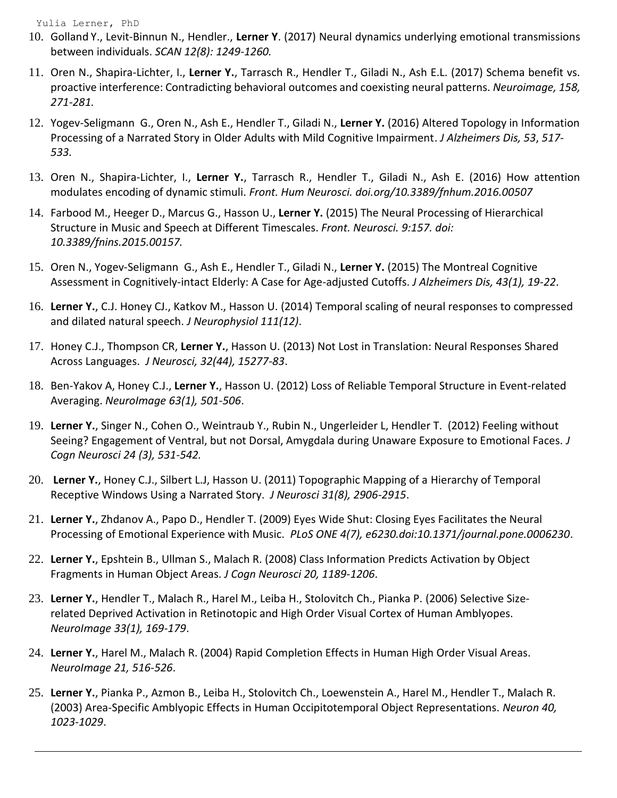Yulia Lerner, PhD

- 10. Golland Y., Levit-Binnun N., Hendler., **Lerner Y**. (2017) Neural dynamics underlying emotional transmissions between individuals. *SCAN 12(8): 1249-1260.*
- 11. Oren N., Shapira-Lichter, I., **Lerner Y.**, Tarrasch R., Hendler T., Giladi N., Ash E.L. (2017) Schema benefit vs. proactive interference: Contradicting behavioral outcomes and coexisting neural patterns. *Neuroimage, 158, 271-281.*
- 12. Yogev-Seligmann G., Oren N., Ash E., Hendler T., Giladi N., **Lerner Y.** (2016) Altered Topology in Information Processing of a Narrated Story in Older Adults with Mild Cognitive Impairment. *J Alzheimers Dis, 53*, *517- 533.*
- 13. Oren N., Shapira-Lichter, I., **Lerner Y.**, Tarrasch R., Hendler T., Giladi N., Ash E. (2016) How attention modulates encoding of dynamic stimuli. *Front. Hum Neurosci. [doi.org/10.3389/fnhum.2016.00507](https://doi.org/10.3389/fnhum.2016.00507)*
- 14. Farbood M., Heeger D., Marcus G., Hasson U., **Lerner Y.** (2015) The Neural Processing of Hierarchical Structure in Music and Speech at Different Timescales. *Front. Neurosci. 9:157. doi: 10.3389/fnins.2015.00157.*
- 15. Oren N., Yogev-Seligmann G., Ash E., Hendler T., Giladi N., **Lerner Y.** (2015) The Montreal Cognitive Assessment in Cognitively-intact Elderly: A Case for Age-adjusted Cutoffs. *J Alzheimers Dis, 43(1), 19-22*.
- 16. **Lerner Y.**, C.J. Honey CJ., Katkov M., Hasson U. (2014) Temporal scaling of neural responses to compressed and dilated natural speech. *J Neurophysiol 111(12)*.
- 17. Honey C.J., Thompson CR, **Lerner Y.**, Hasson U. (2013) Not Lost in Translation: Neural Responses Shared Across Languages. *J Neurosci, 32(44), 15277-83*.
- 18. Ben-Yakov A, Honey C.J., **Lerner Y.**, Hasson U. (2012) Loss of Reliable Temporal Structure in Event-related Averaging. *NeuroImage 63(1), 501-506*.
- 19. **Lerner Y.**, Singer N., Cohen O., Weintraub Y., Rubin N., Ungerleider L, Hendler T. (2012) Feeling without Seeing? Engagement of Ventral, but not Dorsal, Amygdala during Unaware Exposure to Emotional Faces. *J Cogn Neurosci 24 (3), 531-542.*
- 20. **Lerner Y.**, Honey C.J., Silbert L.J, Hasson U. (2011) Topographic Mapping of a Hierarchy of Temporal Receptive Windows Using a Narrated Story. *J Neurosci 31(8), 2906-2915*.
- 21. **Lerner Y.**, Zhdanov A., Papo D., Hendler T. (2009) Eyes Wide Shut: Closing Eyes Facilitates the Neural Processing of Emotional Experience with Music. *PLoS ONE 4(7), e6230.doi:10.1371/journal.pone.0006230*.
- 22. **Lerner Y.**, Epshtein B., Ullman S., Malach R. (2008) Class Information Predicts Activation by Object Fragments in Human Object Areas. *J Cogn Neurosci 20, 1189-1206*.
- 23. **Lerner Y.**, Hendler T., Malach R., Harel M., Leiba H., Stolovitch Ch., Pianka P. (2006) Selective Sizerelated Deprived Activation in Retinotopic and High Order Visual Cortex of Human Amblyopes. *NeuroImage 33(1), 169-179*.
- 24. **Lerner Y.**, Harel M., Malach R. (2004) Rapid Completion Effects in Human High Order Visual Areas. *NeuroImage 21, 516-526*.
- 25. **Lerner Y.**, Pianka P., Azmon B., Leiba H., Stolovitch Ch., Loewenstein A., Harel M., Hendler T., Malach R. (2003) Area-Specific Amblyopic Effects in Human Occipitotemporal Object Representations. *Neuron 40, 1023-1029*.